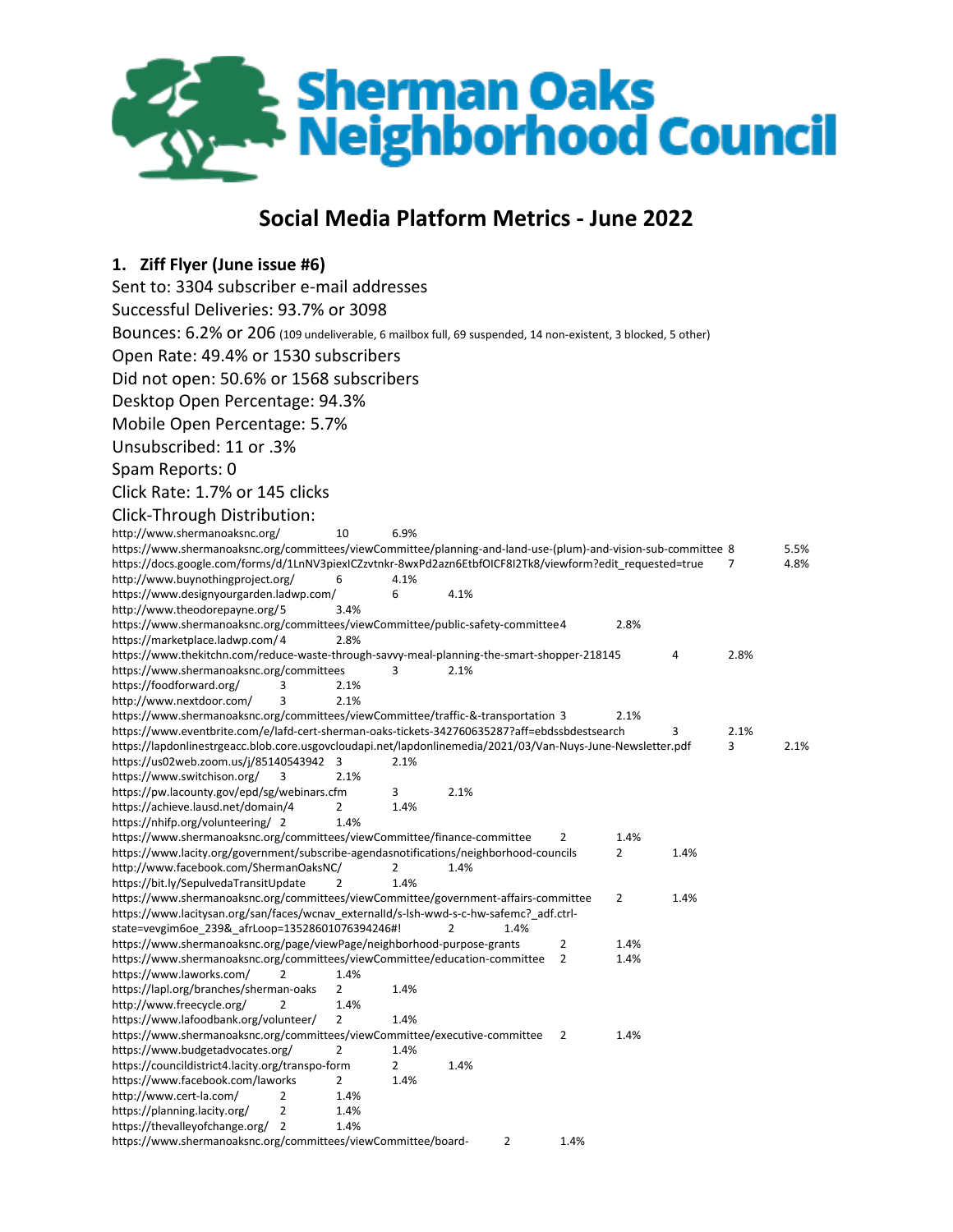

# **Social Media Platform Metrics - June 2022**

| 1. Ziff Flyer (June issue #6)                                                                                                                          |           |      |      |      |      |      |      |      |      |
|--------------------------------------------------------------------------------------------------------------------------------------------------------|-----------|------|------|------|------|------|------|------|------|
| Sent to: 3304 subscriber e-mail addresses                                                                                                              |           |      |      |      |      |      |      |      |      |
| Successful Deliveries: 93.7% or 3098                                                                                                                   |           |      |      |      |      |      |      |      |      |
| BOUNCES: 6.2% OF 206 (109 undeliverable, 6 mailbox full, 69 suspended, 14 non-existent, 3 blocked, 5 other)                                            |           |      |      |      |      |      |      |      |      |
|                                                                                                                                                        |           |      |      |      |      |      |      |      |      |
| Open Rate: 49.4% or 1530 subscribers                                                                                                                   |           |      |      |      |      |      |      |      |      |
| Did not open: 50.6% or 1568 subscribers                                                                                                                |           |      |      |      |      |      |      |      |      |
| Desktop Open Percentage: 94.3%                                                                                                                         |           |      |      |      |      |      |      |      |      |
| Mobile Open Percentage: 5.7%                                                                                                                           |           |      |      |      |      |      |      |      |      |
| Unsubscribed: 11 or .3%                                                                                                                                |           |      |      |      |      |      |      |      |      |
| Spam Reports: 0                                                                                                                                        |           |      |      |      |      |      |      |      |      |
| Click Rate: 1.7% or 145 clicks                                                                                                                         |           |      |      |      |      |      |      |      |      |
|                                                                                                                                                        |           |      |      |      |      |      |      |      |      |
| Click-Through Distribution:                                                                                                                            |           |      |      |      |      |      |      |      |      |
| http://www.shermanoaksnc.org/<br>https://www.shermanoaksnc.org/committees/viewCommittee/planning-and-land-use-(plum)-and-vision-sub-committee 8        | 10        | 6.9% |      |      |      |      |      |      | 5.5% |
| https://docs.google.com/forms/d/1LnNV3piexICZzvtnkr-8wxPd2azn6EtbfOICF8I2Tk8/viewform?edit requested=true                                              |           |      |      |      |      |      |      | 7    | 4.8% |
| http://www.buynothingproject.org/                                                                                                                      | 6         | 4.1% |      |      |      |      |      |      |      |
| https://www.designyourgarden.ladwp.com/                                                                                                                |           | 6    | 4.1% |      |      |      |      |      |      |
| http://www.theodorepayne.org/5                                                                                                                         | 3.4%      |      |      |      |      |      |      |      |      |
| https://www.shermanoaksnc.org/committees/viewCommittee/public-safety-committee4                                                                        |           |      |      |      |      | 2.8% |      |      |      |
| https://marketplace.ladwp.com/4<br>https://www.thekitchn.com/reduce-waste-through-savvy-meal-planning-the-smart-shopper-218145                         | 2.8%      |      |      |      |      |      | 4    | 2.8% |      |
| https://www.shermanoaksnc.org/committees                                                                                                               |           | 3    | 2.1% |      |      |      |      |      |      |
| https://foodforward.org/<br>3                                                                                                                          | 2.1%      |      |      |      |      |      |      |      |      |
| http://www.nextdoor.com/<br>3                                                                                                                          | 2.1%      |      |      |      |      |      |      |      |      |
| https://www.shermanoaksnc.org/committees/viewCommittee/traffic-&-transportation 3                                                                      |           |      |      |      |      | 2.1% |      |      |      |
| https://www.eventbrite.com/e/lafd-cert-sherman-oaks-tickets-342760635287?aff=ebdssbdestsearch                                                          |           |      |      |      |      |      | 3    | 2.1% |      |
| https://lapdonlinestrgeacc.blob.core.usgovcloudapi.net/lapdonlinemedia/2021/03/Van-Nuys-June-Newsletter.pdf<br>https://us02web.zoom.us/j/85140543942 3 |           | 2.1% |      |      |      |      |      | 3    | 2.1% |
| https://www.switchison.org/<br>3                                                                                                                       | 2.1%      |      |      |      |      |      |      |      |      |
| https://pw.lacounty.gov/epd/sg/webinars.cfm                                                                                                            |           | 3    | 2.1% |      |      |      |      |      |      |
| https://achieve.lausd.net/domain/4                                                                                                                     | 2         | 1.4% |      |      |      |      |      |      |      |
| https://nhifp.org/volunteering/ 2                                                                                                                      | 1.4%      |      |      |      |      |      |      |      |      |
| https://www.shermanoaksnc.org/committees/viewCommittee/finance-committee                                                                               |           |      |      |      | 2    | 1.4% |      |      |      |
| https://www.lacity.org/government/subscribe-agendasnotifications/neighborhood-councils<br>http://www.facebook.com/ShermanOaksNC/                       |           | 2    | 1.4% |      |      | 2    | 1.4% |      |      |
| https://bit.ly/SepulvedaTransitUpdate                                                                                                                  | 2         | 1.4% |      |      |      |      |      |      |      |
| https://www.shermanoaksnc.org/committees/viewCommittee/government-affairs-committee                                                                    |           |      |      |      |      | 2    | 1.4% |      |      |
| https://www.lacitysan.org/san/faces/wcnav externalId/s-lsh-wwd-s-c-hw-safemc? adf.ctrl-                                                                |           |      |      |      |      |      |      |      |      |
| state=vevgim6oe 239& afrLoop=13528601076394246#!                                                                                                       |           |      | 2    | 1.4% |      |      |      |      |      |
| https://www.shermanoaksnc.org/page/viewPage/neighborhood-purpose-grants                                                                                |           |      |      |      | 2    | 1.4% |      |      |      |
| https://www.shermanoaksnc.org/committees/viewCommittee/education-committee<br>2                                                                        |           |      |      |      | 2    | 1.4% |      |      |      |
| https://www.laworks.com/<br>https://lapl.org/branches/sherman-oaks                                                                                     | 1.4%<br>2 | 1.4% |      |      |      |      |      |      |      |
| http://www.freecycle.org/<br>2                                                                                                                         | 1.4%      |      |      |      |      |      |      |      |      |
| https://www.lafoodbank.org/volunteer/                                                                                                                  | 2         | 1.4% |      |      |      |      |      |      |      |
| https://www.shermanoaksnc.org/committees/viewCommittee/executive-committee                                                                             |           |      |      |      | 2    | 1.4% |      |      |      |
| https://www.budgetadvocates.org/                                                                                                                       | 2         | 1.4% |      |      |      |      |      |      |      |
| https://councildistrict4.lacity.org/transpo-form                                                                                                       |           | 2    | 1.4% |      |      |      |      |      |      |
| https://www.facebook.com/laworks<br>http://www.cert-la.com/<br>2                                                                                       | 2<br>1.4% | 1.4% |      |      |      |      |      |      |      |
| https://planning.lacity.org/<br>$\overline{2}$                                                                                                         | 1.4%      |      |      |      |      |      |      |      |      |
| https://thevalleyofchange.org/<br>2                                                                                                                    | 1.4%      |      |      |      |      |      |      |      |      |
| https://www.shermanoaksnc.org/committees/viewCommittee/board-                                                                                          |           |      |      | 2    | 1.4% |      |      |      |      |